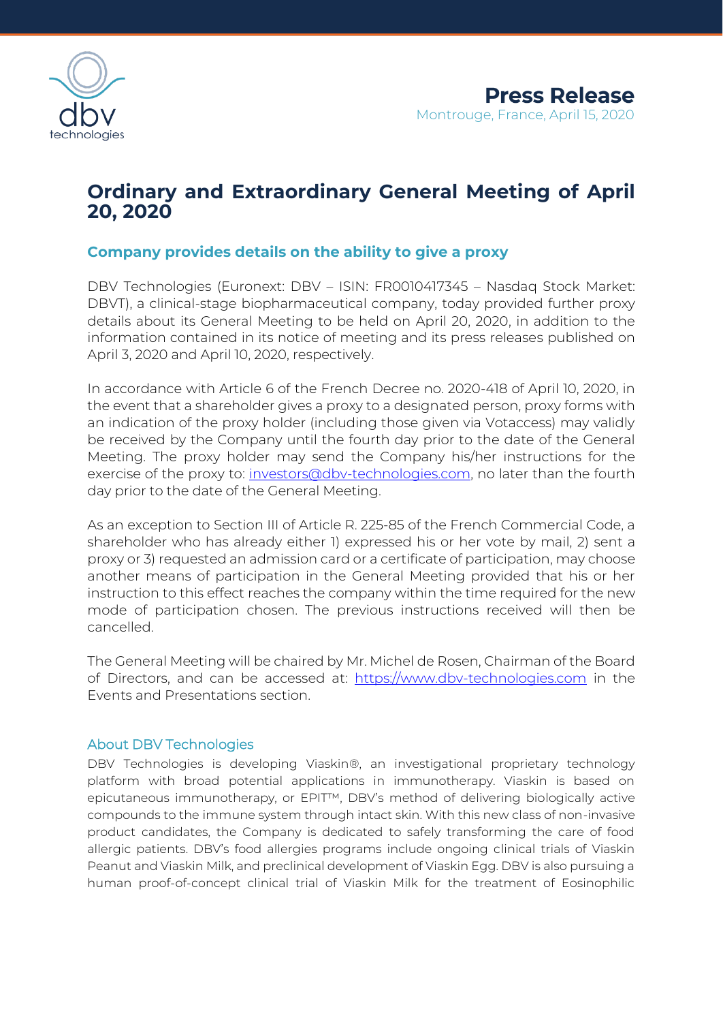

# **Ordinary and Extraordinary General Meeting of April 20, 2020**

## **Company provides details on the ability to give a proxy**

DBV Technologies (Euronext: DBV – ISIN: FR0010417345 – Nasdaq Stock Market: DBVT), a clinical-stage biopharmaceutical company, today provided further proxy details about its General Meeting to be held on April 20, 2020, in addition to the information contained in its notice of meeting and its press releases published on April 3, 2020 and April 10, 2020, respectively.

In accordance with Article 6 of the French Decree no. 2020-418 of April 10, 2020, in the event that a shareholder gives a proxy to a designated person, proxy forms with an indication of the proxy holder (including those given via Votaccess) may validly be received by the Company until the fourth day prior to the date of the General Meeting. The proxy holder may send the Company his/her instructions for the exercise of the proxy to: [investors@dbv-technologies.com,](mailto:investors@dbv-technologies.com) no later than the fourth day prior to the date of the General Meeting.

As an exception to Section III of Article R. 225-85 of the French Commercial Code, a shareholder who has already either 1) expressed his or her vote by mail, 2) sent a proxy or 3) requested an admission card or a certificate of participation, may choose another means of participation in the General Meeting provided that his or her instruction to this effect reaches the company within the time required for the new mode of participation chosen. The previous instructions received will then be cancelled.

The General Meeting will be chaired by Mr. Michel de Rosen, Chairman of the Board of Directors, and can be accessed at: [https://www.dbv-technologies.com](https://www.dbv-technologies.com/) in the Events and Presentations section.

### About DBV Technologies

DBV Technologies is developing Viaskin®, an investigational proprietary technology platform with broad potential applications in immunotherapy. Viaskin is based on epicutaneous immunotherapy, or EPIT™, DBV's method of delivering biologically active compounds to the immune system through intact skin. With this new class of non-invasive product candidates, the Company is dedicated to safely transforming the care of food allergic patients. DBV's food allergies programs include ongoing clinical trials of Viaskin Peanut and Viaskin Milk, and preclinical development of Viaskin Egg. DBV is also pursuing a human proof-of-concept clinical trial of Viaskin Milk for the treatment of Eosinophilic